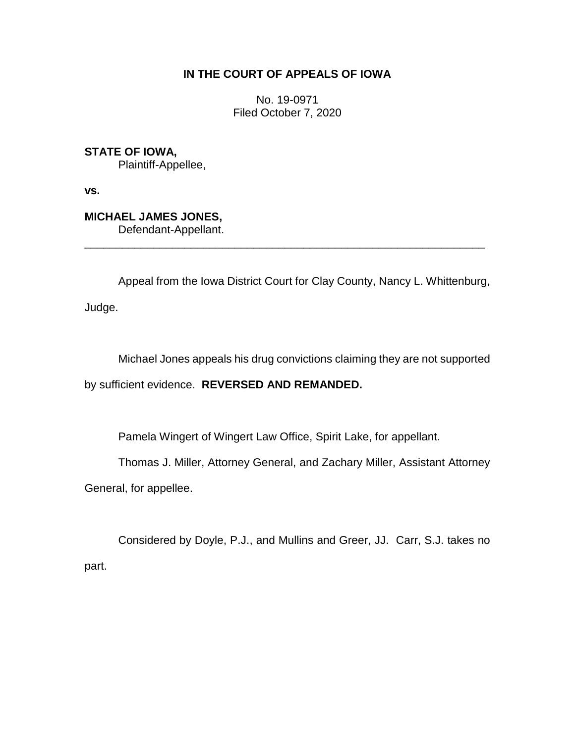## **IN THE COURT OF APPEALS OF IOWA**

No. 19-0971 Filed October 7, 2020

**STATE OF IOWA,** Plaintiff-Appellee,

**vs.**

**MICHAEL JAMES JONES,**

Defendant-Appellant.

Appeal from the Iowa District Court for Clay County, Nancy L. Whittenburg,

\_\_\_\_\_\_\_\_\_\_\_\_\_\_\_\_\_\_\_\_\_\_\_\_\_\_\_\_\_\_\_\_\_\_\_\_\_\_\_\_\_\_\_\_\_\_\_\_\_\_\_\_\_\_\_\_\_\_\_\_\_\_\_\_

Judge.

Michael Jones appeals his drug convictions claiming they are not supported

by sufficient evidence. **REVERSED AND REMANDED.**

Pamela Wingert of Wingert Law Office, Spirit Lake, for appellant.

Thomas J. Miller, Attorney General, and Zachary Miller, Assistant Attorney

General, for appellee.

Considered by Doyle, P.J., and Mullins and Greer, JJ. Carr, S.J. takes no part.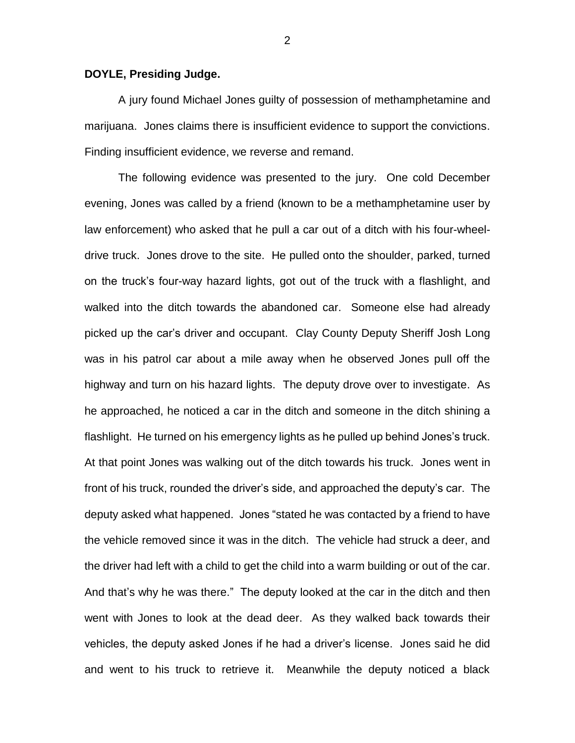## **DOYLE, Presiding Judge.**

A jury found Michael Jones guilty of possession of methamphetamine and marijuana. Jones claims there is insufficient evidence to support the convictions. Finding insufficient evidence, we reverse and remand.

The following evidence was presented to the jury. One cold December evening, Jones was called by a friend (known to be a methamphetamine user by law enforcement) who asked that he pull a car out of a ditch with his four-wheeldrive truck. Jones drove to the site. He pulled onto the shoulder, parked, turned on the truck's four-way hazard lights, got out of the truck with a flashlight, and walked into the ditch towards the abandoned car. Someone else had already picked up the car's driver and occupant. Clay County Deputy Sheriff Josh Long was in his patrol car about a mile away when he observed Jones pull off the highway and turn on his hazard lights. The deputy drove over to investigate. As he approached, he noticed a car in the ditch and someone in the ditch shining a flashlight. He turned on his emergency lights as he pulled up behind Jones's truck. At that point Jones was walking out of the ditch towards his truck. Jones went in front of his truck, rounded the driver's side, and approached the deputy's car. The deputy asked what happened. Jones "stated he was contacted by a friend to have the vehicle removed since it was in the ditch. The vehicle had struck a deer, and the driver had left with a child to get the child into a warm building or out of the car. And that's why he was there." The deputy looked at the car in the ditch and then went with Jones to look at the dead deer. As they walked back towards their vehicles, the deputy asked Jones if he had a driver's license. Jones said he did and went to his truck to retrieve it. Meanwhile the deputy noticed a black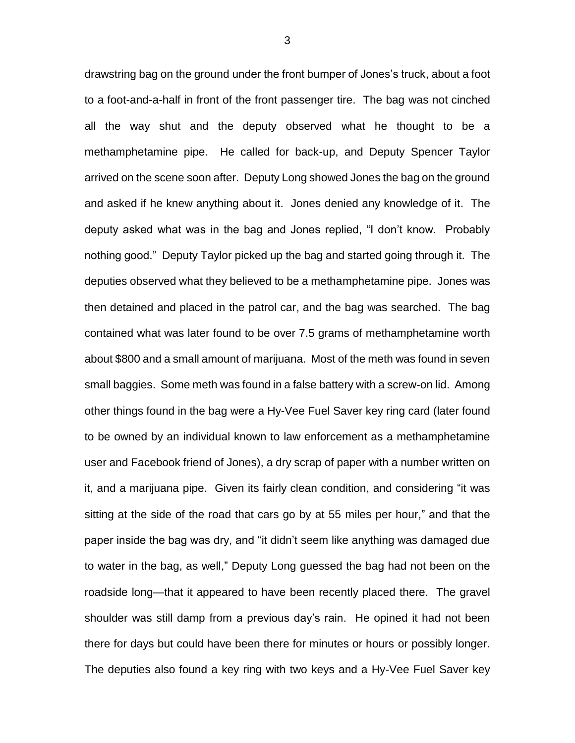drawstring bag on the ground under the front bumper of Jones's truck, about a foot to a foot-and-a-half in front of the front passenger tire. The bag was not cinched all the way shut and the deputy observed what he thought to be a methamphetamine pipe. He called for back-up, and Deputy Spencer Taylor arrived on the scene soon after. Deputy Long showed Jones the bag on the ground and asked if he knew anything about it. Jones denied any knowledge of it. The deputy asked what was in the bag and Jones replied, "I don't know. Probably nothing good." Deputy Taylor picked up the bag and started going through it. The deputies observed what they believed to be a methamphetamine pipe. Jones was then detained and placed in the patrol car, and the bag was searched. The bag contained what was later found to be over 7.5 grams of methamphetamine worth about \$800 and a small amount of marijuana. Most of the meth was found in seven small baggies. Some meth was found in a false battery with a screw-on lid. Among other things found in the bag were a Hy-Vee Fuel Saver key ring card (later found to be owned by an individual known to law enforcement as a methamphetamine user and Facebook friend of Jones), a dry scrap of paper with a number written on it, and a marijuana pipe. Given its fairly clean condition, and considering "it was sitting at the side of the road that cars go by at 55 miles per hour," and that the paper inside the bag was dry, and "it didn't seem like anything was damaged due to water in the bag, as well," Deputy Long guessed the bag had not been on the roadside long—that it appeared to have been recently placed there. The gravel shoulder was still damp from a previous day's rain. He opined it had not been there for days but could have been there for minutes or hours or possibly longer. The deputies also found a key ring with two keys and a Hy-Vee Fuel Saver key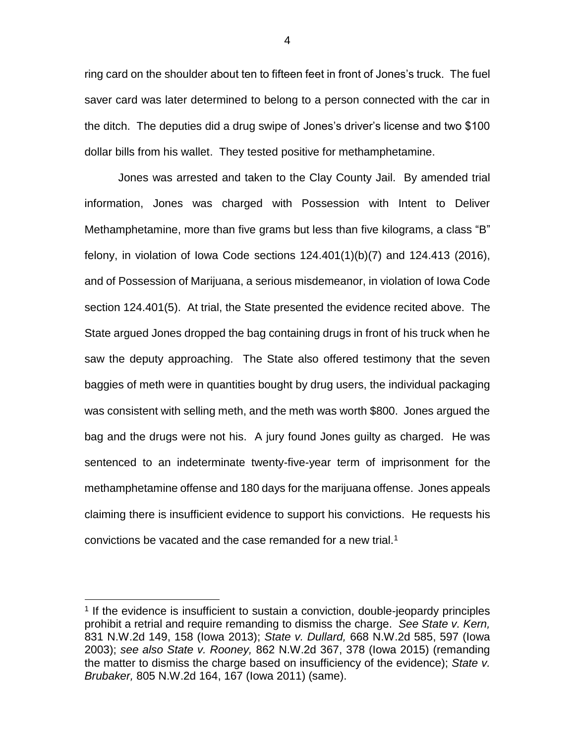ring card on the shoulder about ten to fifteen feet in front of Jones's truck. The fuel saver card was later determined to belong to a person connected with the car in the ditch. The deputies did a drug swipe of Jones's driver's license and two \$100 dollar bills from his wallet. They tested positive for methamphetamine.

Jones was arrested and taken to the Clay County Jail. By amended trial information, Jones was charged with Possession with Intent to Deliver Methamphetamine, more than five grams but less than five kilograms, a class "B" felony, in violation of Iowa Code sections 124.401(1)(b)(7) and 124.413 (2016), and of Possession of Marijuana, a serious misdemeanor, in violation of Iowa Code section 124.401(5). At trial, the State presented the evidence recited above. The State argued Jones dropped the bag containing drugs in front of his truck when he saw the deputy approaching. The State also offered testimony that the seven baggies of meth were in quantities bought by drug users, the individual packaging was consistent with selling meth, and the meth was worth \$800. Jones argued the bag and the drugs were not his. A jury found Jones guilty as charged. He was sentenced to an indeterminate twenty-five-year term of imprisonment for the methamphetamine offense and 180 days for the marijuana offense. Jones appeals claiming there is insufficient evidence to support his convictions. He requests his convictions be vacated and the case remanded for a new trial.<sup>1</sup>

 $\overline{a}$ 

<sup>&</sup>lt;sup>1</sup> If the evidence is insufficient to sustain a conviction, double-jeopardy principles prohibit a retrial and require remanding to dismiss the charge. *See State v. Kern,*  831 N.W.2d 149, 158 (Iowa 2013); *State v. Dullard,* 668 N.W.2d 585, 597 (Iowa 2003); *see also State v. Rooney,* 862 N.W.2d 367, 378 (Iowa 2015) (remanding the matter to dismiss the charge based on insufficiency of the evidence); *State v. Brubaker,* 805 N.W.2d 164, 167 (Iowa 2011) (same).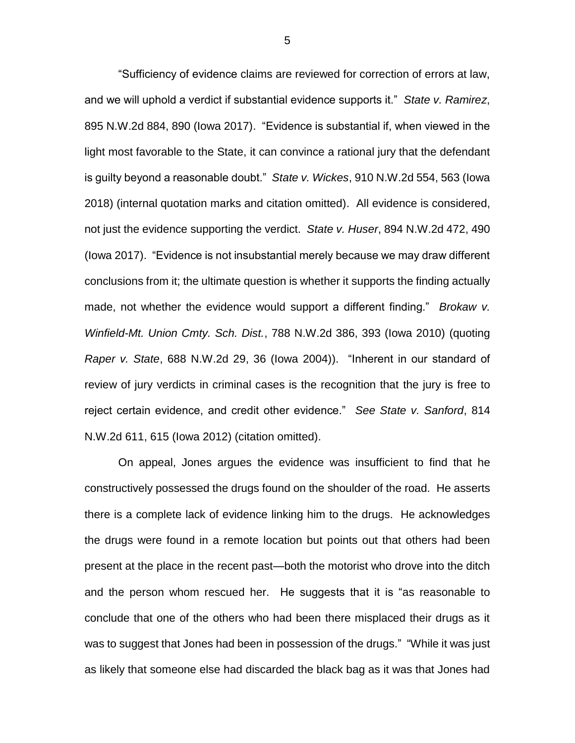"Sufficiency of evidence claims are reviewed for correction of errors at law, and we will uphold a verdict if substantial evidence supports it." *State v. Ramirez*, 895 N.W.2d 884, 890 (Iowa 2017). "Evidence is substantial if, when viewed in the light most favorable to the State, it can convince a rational jury that the defendant is guilty beyond a reasonable doubt." *State v. Wickes*, 910 N.W.2d 554, 563 (Iowa 2018) (internal quotation marks and citation omitted). All evidence is considered, not just the evidence supporting the verdict. *State v. Huser*, 894 N.W.2d 472, 490 (Iowa 2017). "Evidence is not insubstantial merely because we may draw different conclusions from it; the ultimate question is whether it supports the finding actually made, not whether the evidence would support a different finding." *Brokaw v. Winfield-Mt. Union Cmty. Sch. Dist.*, 788 N.W.2d 386, 393 (Iowa 2010) (quoting *Raper v. State*, 688 N.W.2d 29, 36 (Iowa 2004)). "Inherent in our standard of review of jury verdicts in criminal cases is the recognition that the jury is free to reject certain evidence, and credit other evidence." *See State v. Sanford*, 814 N.W.2d 611, 615 (Iowa 2012) (citation omitted).

On appeal, Jones argues the evidence was insufficient to find that he constructively possessed the drugs found on the shoulder of the road. He asserts there is a complete lack of evidence linking him to the drugs. He acknowledges the drugs were found in a remote location but points out that others had been present at the place in the recent past—both the motorist who drove into the ditch and the person whom rescued her. He suggests that it is "as reasonable to conclude that one of the others who had been there misplaced their drugs as it was to suggest that Jones had been in possession of the drugs." "While it was just as likely that someone else had discarded the black bag as it was that Jones had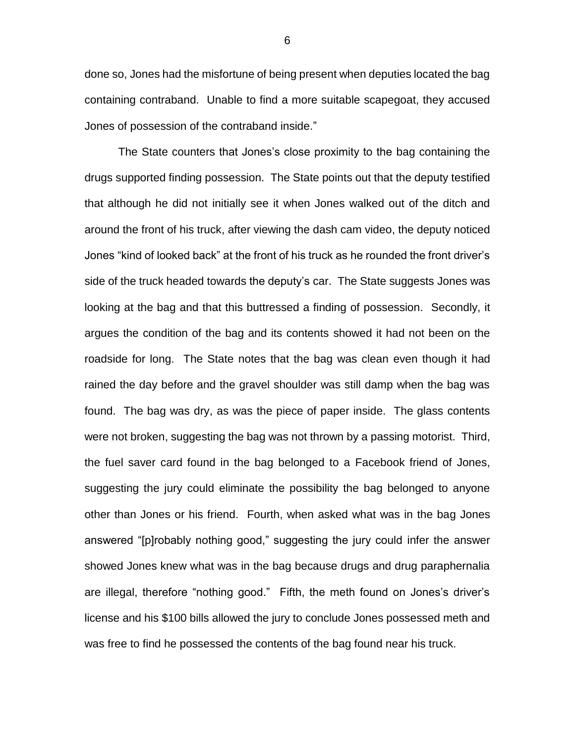done so, Jones had the misfortune of being present when deputies located the bag containing contraband. Unable to find a more suitable scapegoat, they accused Jones of possession of the contraband inside."

The State counters that Jones's close proximity to the bag containing the drugs supported finding possession. The State points out that the deputy testified that although he did not initially see it when Jones walked out of the ditch and around the front of his truck, after viewing the dash cam video, the deputy noticed Jones "kind of looked back" at the front of his truck as he rounded the front driver's side of the truck headed towards the deputy's car. The State suggests Jones was looking at the bag and that this buttressed a finding of possession. Secondly, it argues the condition of the bag and its contents showed it had not been on the roadside for long. The State notes that the bag was clean even though it had rained the day before and the gravel shoulder was still damp when the bag was found. The bag was dry, as was the piece of paper inside. The glass contents were not broken, suggesting the bag was not thrown by a passing motorist. Third, the fuel saver card found in the bag belonged to a Facebook friend of Jones, suggesting the jury could eliminate the possibility the bag belonged to anyone other than Jones or his friend. Fourth, when asked what was in the bag Jones answered "[p]robably nothing good," suggesting the jury could infer the answer showed Jones knew what was in the bag because drugs and drug paraphernalia are illegal, therefore "nothing good." Fifth, the meth found on Jones's driver's license and his \$100 bills allowed the jury to conclude Jones possessed meth and was free to find he possessed the contents of the bag found near his truck.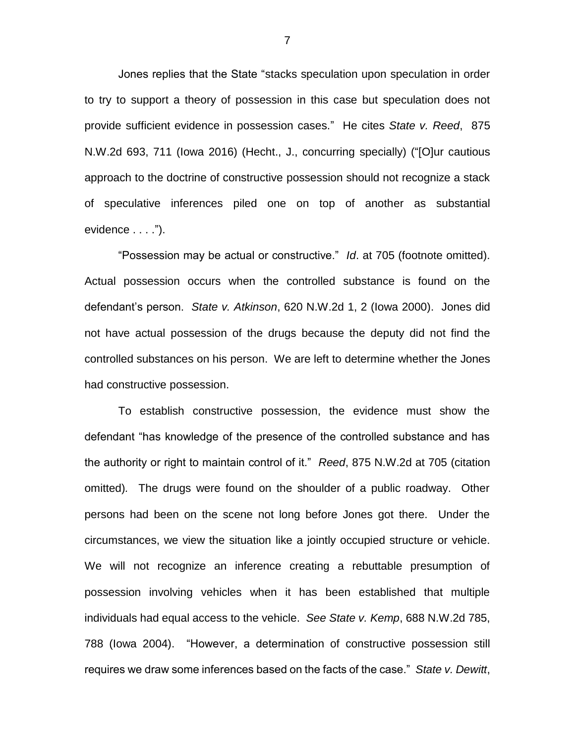Jones replies that the State "stacks speculation upon speculation in order to try to support a theory of possession in this case but speculation does not provide sufficient evidence in possession cases." He cites *State v. Reed*, 875 N.W.2d 693, 711 (Iowa 2016) (Hecht., J., concurring specially) ("[O]ur cautious approach to the doctrine of constructive possession should not recognize a stack of speculative inferences piled one on top of another as substantial evidence . . . .").

"Possession may be actual or constructive." *Id*. at 705 (footnote omitted). Actual possession occurs when the controlled substance is found on the defendant's person. *State v. Atkinson*, 620 N.W.2d 1, 2 (Iowa 2000). Jones did not have actual possession of the drugs because the deputy did not find the controlled substances on his person. We are left to determine whether the Jones had constructive possession.

To establish constructive possession, the evidence must show the defendant "has knowledge of the presence of the controlled substance and has the authority or right to maintain control of it." *Reed*, 875 N.W.2d at 705 (citation omitted)*.* The drugs were found on the shoulder of a public roadway. Other persons had been on the scene not long before Jones got there. Under the circumstances, we view the situation like a jointly occupied structure or vehicle. We will not recognize an inference creating a rebuttable presumption of possession involving vehicles when it has been established that multiple individuals had equal access to the vehicle. *See State v. Kemp*, 688 N.W.2d 785, 788 (Iowa 2004). "However, a determination of constructive possession still requires we draw some inferences based on the facts of the case." *State v. Dewitt*,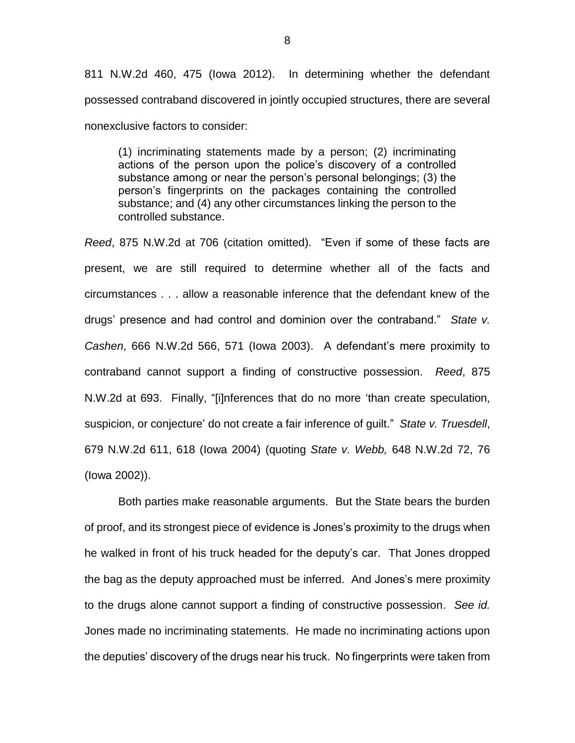811 N.W.2d 460, 475 (Iowa 2012). In determining whether the defendant possessed contraband discovered in jointly occupied structures, there are several nonexclusive factors to consider:

(1) incriminating statements made by a person; (2) incriminating actions of the person upon the police's discovery of a controlled substance among or near the person's personal belongings; (3) the person's fingerprints on the packages containing the controlled substance; and (4) any other circumstances linking the person to the controlled substance.

*Reed*, 875 N.W.2d at 706 (citation omitted). "Even if some of these facts are present, we are still required to determine whether all of the facts and circumstances . . . allow a reasonable inference that the defendant knew of the drugs' presence and had control and dominion over the contraband." *State v. Cashen*, 666 N.W.2d 566, 571 (Iowa 2003). A defendant's mere proximity to contraband cannot support a finding of constructive possession. *Reed*, 875 N.W.2d at 693. Finally, "[i]nferences that do no more 'than create speculation, suspicion, or conjecture' do not create a fair inference of guilt." *State v. Truesdell*, 679 N.W.2d 611, 618 (Iowa 2004) (quoting *State v. Webb,* 648 N.W.2d 72, 76 (Iowa 2002)).

Both parties make reasonable arguments. But the State bears the burden of proof, and its strongest piece of evidence is Jones's proximity to the drugs when he walked in front of his truck headed for the deputy's car. That Jones dropped the bag as the deputy approached must be inferred. And Jones's mere proximity to the drugs alone cannot support a finding of constructive possession. *See id.* Jones made no incriminating statements. He made no incriminating actions upon the deputies' discovery of the drugs near his truck. No fingerprints were taken from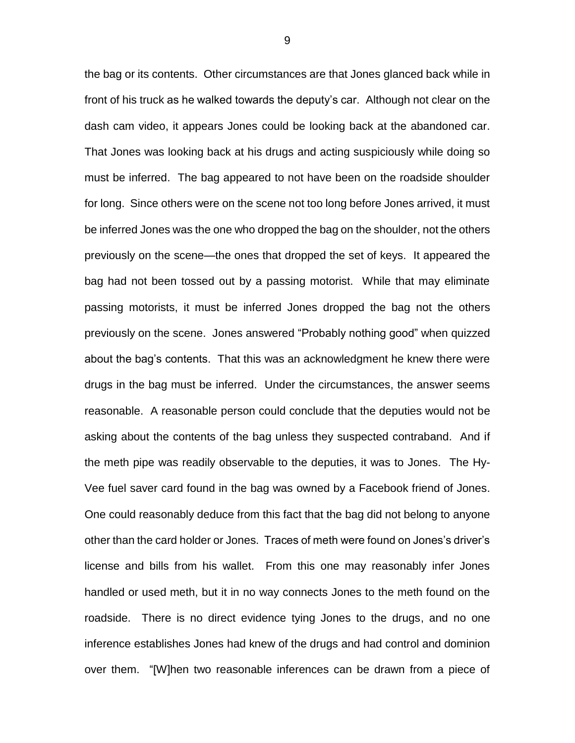the bag or its contents. Other circumstances are that Jones glanced back while in front of his truck as he walked towards the deputy's car. Although not clear on the dash cam video, it appears Jones could be looking back at the abandoned car. That Jones was looking back at his drugs and acting suspiciously while doing so must be inferred. The bag appeared to not have been on the roadside shoulder for long. Since others were on the scene not too long before Jones arrived, it must be inferred Jones was the one who dropped the bag on the shoulder, not the others previously on the scene—the ones that dropped the set of keys. It appeared the bag had not been tossed out by a passing motorist. While that may eliminate passing motorists, it must be inferred Jones dropped the bag not the others previously on the scene. Jones answered "Probably nothing good" when quizzed about the bag's contents. That this was an acknowledgment he knew there were drugs in the bag must be inferred. Under the circumstances, the answer seems reasonable. A reasonable person could conclude that the deputies would not be asking about the contents of the bag unless they suspected contraband. And if the meth pipe was readily observable to the deputies, it was to Jones. The Hy-Vee fuel saver card found in the bag was owned by a Facebook friend of Jones. One could reasonably deduce from this fact that the bag did not belong to anyone other than the card holder or Jones. Traces of meth were found on Jones's driver's license and bills from his wallet. From this one may reasonably infer Jones handled or used meth, but it in no way connects Jones to the meth found on the roadside. There is no direct evidence tying Jones to the drugs, and no one inference establishes Jones had knew of the drugs and had control and dominion over them. "[W]hen two reasonable inferences can be drawn from a piece of